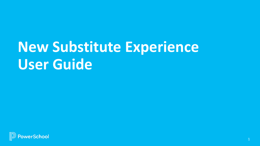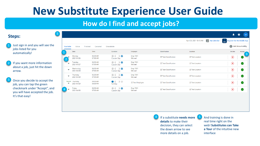### **How do I find and accept jobs?**

#### **Steps:**

- Just sign in and you will see the jobs listed for you automatically!
- 2 If you want more information about a job, just hit the down arrow.

Once you decide to accept the job, you can tap the green checkmark under "Accept", and you will have accepted the job. It's that easy!

|                          |                                   |                      |                                                     |                         |                               | 28 My Calendar<br>April 23, 2021 10:10 AM | Register for the Mobile App<br>$rac{1}{\text{SFE}}$ |
|--------------------------|-----------------------------------|----------------------|-----------------------------------------------------|-------------------------|-------------------------------|-------------------------------------------|-----------------------------------------------------|
| Available                | Active                            | Finished<br>Canceled | Unavailable                                         |                         |                               |                                           | $\bigodot$<br><b>Add Unavailability</b>             |
|                          | Date                              | Time                 | Duration                                            | Employee                | Classification                | Location                                  | Decline<br>Accept                                   |
|                          | Monday<br>2021/04/26              | 06:30 AM<br>07:00 AM | Ø<br>$\bigcirc$ $\bigcirc$ $\bigcirc$<br>Custom Day | Emp 7001<br>Michael     | <b>ZZ Test Classification</b> | <b>ZZ Test Location</b>                   | $\bf{z}$<br>(✓                                      |
| $\overline{\phantom{a}}$ | Tuesday<br>2021/04/27             | 06:30 AM<br>07:00 AM | Ø<br>$\circ$ $\circ$ $\circ$<br><b>Custom Day</b>   | Emp 7001<br>Michael     | <b>ZZ Test Classification</b> | <b>ZZ Test Location</b>                   | $\bigcirc$<br>$\odot$                               |
| $\overline{\phantom{a}}$ | Wednesday<br>2021/04/28           | 06:30 AM<br>07:00 AM | $\circ$ $\circ$ $\circ$<br><b>Custom Day</b>        | Emp 7001<br>Michael     | <b>ZZ Test Classification</b> | <b>ZZ Test Location</b>                   | $\bf{(\bf x)}$<br>$\odot$                           |
| $\overline{\phantom{a}}$ | Thursday<br>2021/04/29            | 06:30 AM<br>07:00 AM | $\circ$ $\circ$ $\circ$<br>Custom Day               | Emp 7001<br>Michael     | <b>ZZ Test Classification</b> | <b>ZZ Test Location</b>                   | $\odot$<br>$\bf{X}$                                 |
| ▼                        | *Requested Thursday<br>2021/04/29 | 08:00 AM<br>04:00 PM | $\bullet$ 0 0 $\!\varnothing$<br>Full Day           | <b>ZZ Test Employee</b> | <b>ZZ Test Classification</b> | <b>ZZ Test Location</b>                   | $\circledast$<br>$\odot$                            |
|                          | Friday<br>2021/04/30              | 06:30 AM<br>07:00 AM | $\circ$ $\circ$ $\circ$<br>Custom Day               | Emp 7001<br>Michael     | <b>ZZ Test Classification</b> | <b>ZZ Test Location</b>                   | $\bf{z}$<br>$(\blacktriangleright)$                 |

4 If a substitute **needs more details** to make their decision, they can select the down arrow to see more details on a job.

5 And training is done in real time right on the web! **Substitutes can Take a Tour** of the intuitive new interface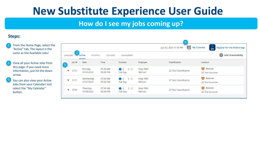### **How do I see my jobs coming up?**

### **Steps:**

- From the Home Page, select the "Active" tab. The layout is the same as the Available Jobs!
- 2 View all your Active Jobs from this page. If you need more information, just hit the down arrow.
	- You can also view your Active Jobs from your Calendar! Just select the "My Calendar" button.

|                              |                           |                      |                                                |                     | $\overline{3}$<br>$\overline{28}$<br>July 02, 2021 01:56 PM | <b>My Calendar</b><br>Register for the Mobile App<br><b>SFE</b> |
|------------------------------|---------------------------|----------------------|------------------------------------------------|---------------------|-------------------------------------------------------------|-----------------------------------------------------------------|
| Available                    | Finished<br><b>Active</b> | Canceled             | Unavailable                                    |                     |                                                             | <b>Add Unavailability</b><br>$(+)$                              |
| Job ID<br>$\overline{2}$     | Date                      | <b>Time</b>          | <b>Duration</b>                                | <b>Employee</b>     | <b>Classification</b>                                       | Location                                                        |
| 5775<br>▼                    | Monday<br>07/05/2021      | 07:30 AM<br>05:00 PM | $\bullet$ $\circ$ $\circ$<br>Full Day          | Emp 7001<br>Michael | <b>ZZ Test Classification</b>                               | $\Box$<br>Remote<br><b>ZZ Test Location</b>                     |
| 5777<br>$\blacktriangledown$ | Wednesday<br>07/07/2021   | 07:30 AM<br>05:00 PM | $\bullet$ $\bullet$ $\circ$<br><b>Full Day</b> | Emp 7001<br>Michael | <b>ZZ Test Classification</b>                               | o<br>Remote<br><b>ZZ Test Location</b>                          |
| 5778<br>$\blacktriangledown$ | Thursday<br>07/08/2021    | 07:30 AM<br>05:00 PM | $\bullet$ $\bullet$ $\circ$<br><b>Full Day</b> | Emp 7001<br>Michael | <b>77 Test Classification</b>                               | Ç<br>Remote<br><b>ZZ Test Location</b>                          |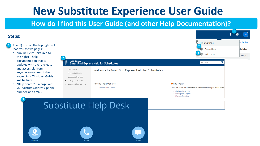**How do I find this User Guide (and other Help Documentation)?**

| <b>Steps:</b>                                                                                                                                                                           |                                                                                                                     |                                                                                                          |                                                             |                                                                   | $s^2$                             |
|-----------------------------------------------------------------------------------------------------------------------------------------------------------------------------------------|---------------------------------------------------------------------------------------------------------------------|----------------------------------------------------------------------------------------------------------|-------------------------------------------------------------|-------------------------------------------------------------------|-----------------------------------|
| The (?) icon on the top right will<br>lead you to two pages:<br>• "Online Help" (pictured to<br>the right) $-$ help                                                                     |                                                                                                                     |                                                                                                          |                                                             | 2 Help Options<br>Online Help<br>(2)<br><b>Help Center</b>        | obile App<br>ailability<br>Accept |
| documentation that is<br>updated with every release                                                                                                                                     |                                                                                                                     | Unified Talent<br>SmartFind Express Help for Substitutes                                                 |                                                             |                                                                   |                                   |
| and accessible from<br>anywhere (no need to be<br>logged in!). This User Guide<br>will be here.<br>"Help Center" $-$ a page with<br>your districts address, phone<br>number, and email. | <b>Get Started</b><br>Find Available Jobs<br>Manage Active Jobs<br>• Manage Availability<br>• Manage Other Settings | Welcome to SmartFind Express Help for Substitutes<br><b>Recent Topic Updates</b><br>• Manage Auto Accept | Hot Topics<br>• Find Available Jobs<br>• Manage Active Jobs | Check out these Hot Topics that most commonly helped other users. |                                   |
|                                                                                                                                                                                         |                                                                                                                     | <b>Substitute Help Desk</b>                                                                              | • Manage Schedule                                           |                                                                   |                                   |
| O<br><b>Address</b>                                                                                                                                                                     | Phone                                                                                                               | ≡<br>Email                                                                                               |                                                             |                                                                   |                                   |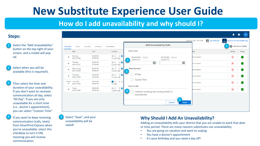### **How do I add unavailability and why should I?**

#### **Steps:**

- Select the "Add Unavailability" button on the top right of your screen, and a modal will pop up.
- Select when you will be available (this is required!).
- Then select the time and duration of your unavailability. If you don't want to receivee communication all day, select "All Day". If you are only unavailable for a short time (i.e., doctor's appointment), you can select "Custom Time"
- If you want to keep receiving communication (calls, texts) from SmartFind Express when you're unavailable, select this checkbox to turn it ON, meaning you will receive communication.

| Available<br>Finished<br>Canceled<br>Unavailable<br>Active |                         |                      | <b>Add Unavailability Date</b>                     |                                                                          | Add Unavailability |                                                                 |
|------------------------------------------------------------|-------------------------|----------------------|----------------------------------------------------|--------------------------------------------------------------------------|--------------------|-----------------------------------------------------------------|
|                                                            | Date                    | Time                 | Duration                                           | <b>Select Date</b>                                                       | tion               | Decline<br>Accept                                               |
| $\overline{\phantom{a}}$                                   | Monday<br>2021/04/26    | 06:30 AM<br>07:00 AM | $\mathcal{P}$<br>$\circ\circ$<br><b>Custom Day</b> | End Date [Required]<br>Start Date [Required]<br>MM/DD/YYYY<br>MM/DD/YYYY | lest Location      | $\odot$<br>$(\pmb{\times})$                                     |
| $\overline{\phantom{a}}$                                   | Tuesday<br>2021/04/27   | 06:30 AM<br>07:00 AM | $\mathcal{P}$<br>$\circ$<br><b>Custom Day</b>      | $\overline{2}$<br>$\frac{1}{28}$<br>$\frac{1}{28}$                       | est Location       | $(\mathbf{x})$<br>$\left($                                      |
| $\overline{\phantom{a}}$                                   | Wednesday<br>2021/04/28 | 06:30 AM<br>07:00 AM | Ø<br>$\circ$ $\circ$<br><b>Custom Day</b>          | <b>Time/Duration</b><br>3                                                | est Location       | $\left( \mathbf{x}\right)$<br>$\left( \bigtriangledown \right)$ |
| $\overline{\mathbf{v}}$                                    | Thursday<br>2021/04/29  | 06:30 AM<br>07:00 AM | $\circ$ $\circ$ $\circ$<br><b>Custom Day</b>       | All Day                                                                  | est Location       | $\circledast$<br>$(\bullet)$                                    |
| *Requested<br>▼                                            | Thursday<br>2021/04/29  | 08:00 AM<br>04:00 PM | $\bullet$ $\circ$ $\circ$<br>Full Day              | <b>Custom Time</b>                                                       | est Location       | $\circledast$<br>$\odot$                                        |
| $\overline{\phantom{a}}$                                   | Friday<br>2021/04/30    | 06:30 AM<br>07:00 AM | Ø<br>$\odot$ (<br>Custom Day                       | <b>Future Calls</b><br>Continue receiving calls during periods of        | est Location       | $\bf{(\hat{x})}$<br>$(\checkmark)$                              |
|                                                            |                         |                      |                                                    | unavailability<br>5<br><b>Save</b><br>Cancel                             |                    |                                                                 |

Select "Save", and your unavailability will be saved!

5

#### **Why Should I Add An Unavailability?**

Adding an Unavailability tells your district that you are unable to work that date or time period. There are many reasons substitutes use unavailability:

- You are going on vacation and want to unplug
- You have a doctor's appointment
- It's your birthday and you need a day off!